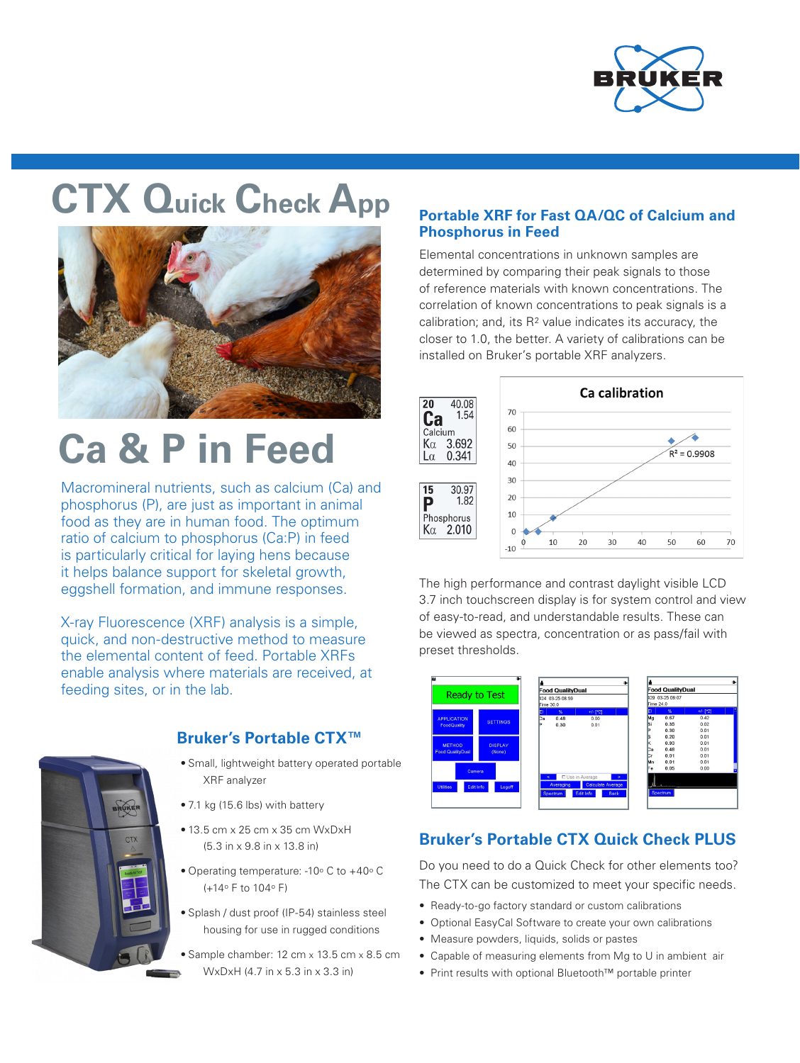

# **CTX Quick Check App**



# **Ca & P in Feed**

Macromineral nutrients, such as calcium (Ca) and phosphorus (P), are just as important in animal food as they are in human food. The optimum ratio of calcium to phosphorus (Ca:P) in feed is particularly critical for laying hens because it helps balance support for skeletal growth, eggshell formation, and immune responses.

X-ray Fluorescence (XRF) analysis is a simple, quick, and non-destructive method to measure the elemental content of feed. Portable XRFs enable analysis where materials are received, at feeding sites, or in the lab.



### **Bruker's Portable CTX™**

- Small, lightweight battery operated portable XRF analyzer
- 7.1 kg (15.6 lbs) with battery
- 13.5 cm x 25 cm x 35 cm WxDxH (5.3 in x 9.8 in x 13.8 in)
- Operating temperature: -10 $\degree$  C to +40 $\degree$  C (+14o F to 104o F)
- Splash / dust proof (IP-54) stainless steel housing for use in rugged conditions
- Sample chamber: 12 cm x 13.5 cm x 8.5 cm WxDxH (4.7 in x 5.3 in x 3.3 in)

#### **Portable XRF for Fast QA/QC of Calcium and Phosphorus in Feed**

Elemental concentrations in unknown samples are determined by comparing their peak signals to those of reference materials with known concentrations. The correlation of known concentrations to peak signals is a calibration; and, its  $R<sup>2</sup>$  value indicates its accuracy, the closer to 1.0, the better. A variety of calibrations can be installed on Bruker's portable XRF analyzers.



The high performance and contrast daylight visible LCD 3.7 inch touchscreen display is for system control and view of easy-to-read, and understandable results. These can be viewed as spectra, concentration or as pass/fail with preset thresholds.



## **Bruker's Portable CTX Quick Check PLUS**

Do you need to do a Quick Check for other elements too? The CTX can be customized to meet your specific needs.

- Ready-to-go factory standard or custom calibrations
- Optional EasyCal Software to create your own calibrations
- Measure powders, liquids, solids or pastes
- Capable of measuring elements from Mg to U in ambient air
- Print results with optional Bluetooth™ portable printer